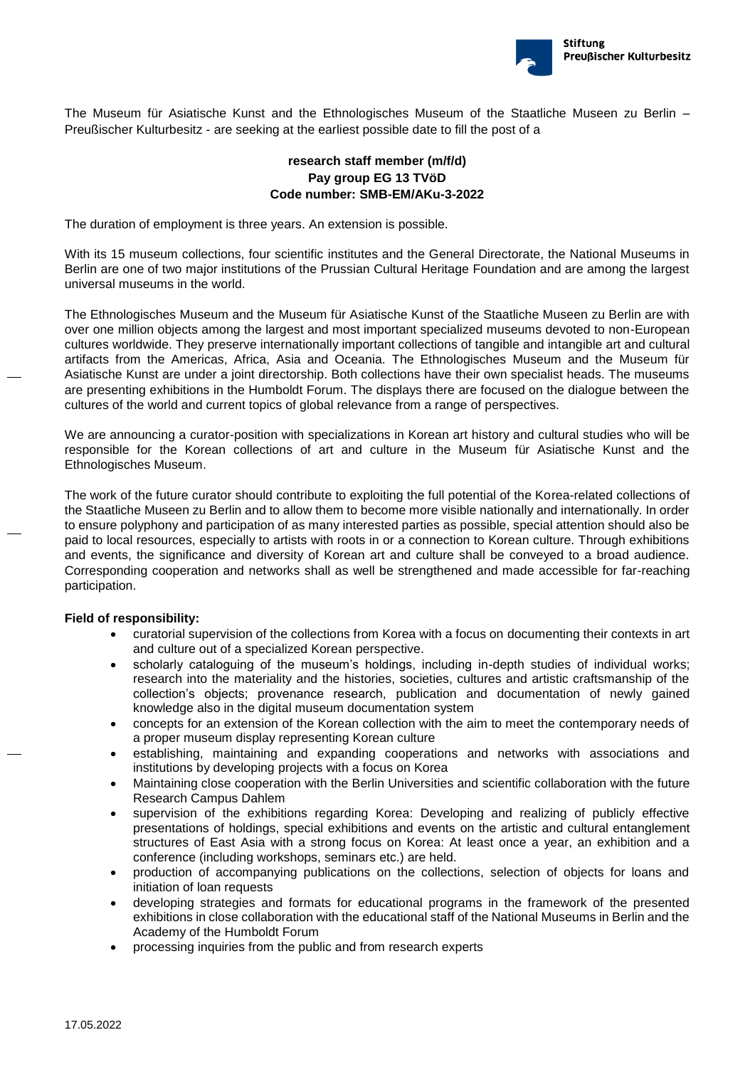

The Museum für Asiatische Kunst and the Ethnologisches Museum of the Staatliche Museen zu Berlin – Preußischer Kulturbesitz - are seeking at the earliest possible date to fill the post of a

## **research staff member (m/f/d) Pay group EG 13 TVöD Code number: SMB-EM/AKu-3-2022**

The duration of employment is three years. An extension is possible.

With its 15 museum collections, four scientific institutes and the General Directorate, the National Museums in Berlin are one of two major institutions of the Prussian Cultural Heritage Foundation and are among the largest universal museums in the world.

The Ethnologisches Museum and the Museum für Asiatische Kunst of the Staatliche Museen zu Berlin are with over one million objects among the largest and most important specialized museums devoted to non-European cultures worldwide. They preserve internationally important collections of tangible and intangible art and cultural artifacts from the Americas, Africa, Asia and Oceania. The Ethnologisches Museum and the Museum für Asiatische Kunst are under a joint directorship. Both collections have their own specialist heads. The museums are presenting exhibitions in the Humboldt Forum. The displays there are focused on the dialogue between the cultures of the world and current topics of global relevance from a range of perspectives.

We are announcing a curator-position with specializations in Korean art history and cultural studies who will be responsible for the Korean collections of art and culture in the Museum für Asiatische Kunst and the Ethnologisches Museum.

The work of the future curator should contribute to exploiting the full potential of the Korea-related collections of the Staatliche Museen zu Berlin and to allow them to become more visible nationally and internationally. In order to ensure polyphony and participation of as many interested parties as possible, special attention should also be paid to local resources, especially to artists with roots in or a connection to Korean culture. Through exhibitions and events, the significance and diversity of Korean art and culture shall be conveyed to a broad audience. Corresponding cooperation and networks shall as well be strengthened and made accessible for far-reaching participation.

## **Field of responsibility:**

- curatorial supervision of the collections from Korea with a focus on documenting their contexts in art and culture out of a specialized Korean perspective.
- scholarly cataloguing of the museum's holdings, including in-depth studies of individual works; research into the materiality and the histories, societies, cultures and artistic craftsmanship of the collection's objects; provenance research, publication and documentation of newly gained knowledge also in the digital museum documentation system
- concepts for an extension of the Korean collection with the aim to meet the contemporary needs of a proper museum display representing Korean culture
- establishing, maintaining and expanding cooperations and networks with associations and institutions by developing projects with a focus on Korea
- Maintaining close cooperation with the Berlin Universities and scientific collaboration with the future Research Campus Dahlem
- supervision of the exhibitions regarding Korea: Developing and realizing of publicly effective presentations of holdings, special exhibitions and events on the artistic and cultural entanglement structures of East Asia with a strong focus on Korea: At least once a year, an exhibition and a conference (including workshops, seminars etc.) are held.
- production of accompanying publications on the collections, selection of objects for loans and initiation of loan requests
- developing strategies and formats for educational programs in the framework of the presented exhibitions in close collaboration with the educational staff of the National Museums in Berlin and the Academy of the Humboldt Forum
- processing inquiries from the public and from research experts